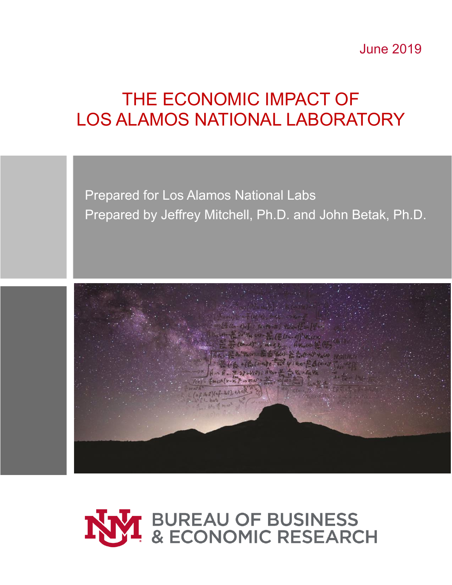June 2019

# THE ECONOMIC IMPACT OF LOS ALAMOS NATIONAL LABORATORY

Prepared for Los Alamos National Labs Prepared by Jeffrey Mitchell, Ph.D. and John Betak, Ph.D.



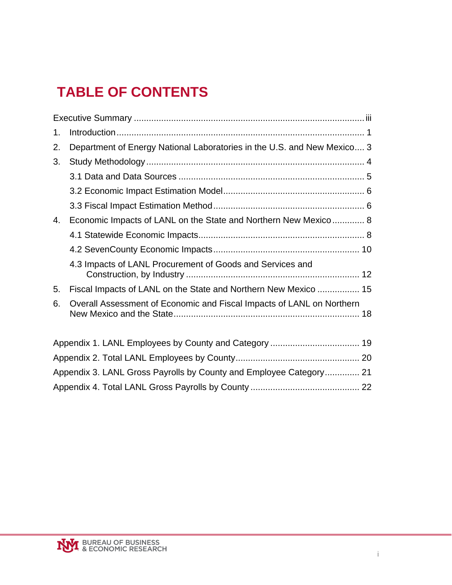# **TABLE OF CONTENTS**

| 1. |                                                                         |  |
|----|-------------------------------------------------------------------------|--|
| 2. | Department of Energy National Laboratories in the U.S. and New Mexico 3 |  |
| 3. |                                                                         |  |
|    |                                                                         |  |
|    |                                                                         |  |
|    |                                                                         |  |
| 4. | Economic Impacts of LANL on the State and Northern New Mexico 8         |  |
|    |                                                                         |  |
|    |                                                                         |  |
|    | 4.3 Impacts of LANL Procurement of Goods and Services and               |  |
| 5. | Fiscal Impacts of LANL on the State and Northern New Mexico  15         |  |
| 6. | Overall Assessment of Economic and Fiscal Impacts of LANL on Northern   |  |
|    |                                                                         |  |
|    |                                                                         |  |
|    | Appendix 3. LANL Gross Payrolls by County and Employee Category 21      |  |
|    |                                                                         |  |

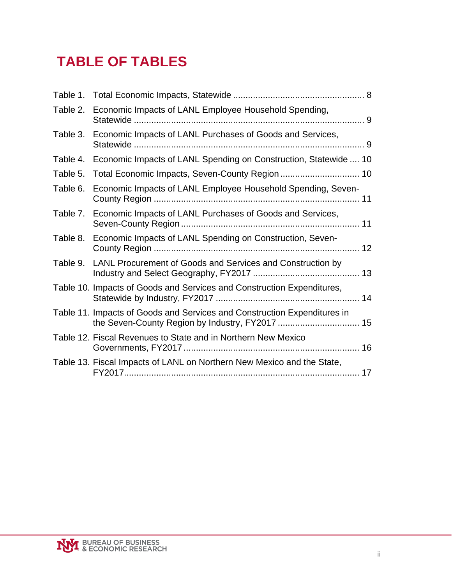# **TABLE OF TABLES**

| Table 2. | Economic Impacts of LANL Employee Household Spending,                    |
|----------|--------------------------------------------------------------------------|
| Table 3. | Economic Impacts of LANL Purchases of Goods and Services,                |
| Table 4. | Economic Impacts of LANL Spending on Construction, Statewide  10         |
| Table 5. | Total Economic Impacts, Seven-County Region 10                           |
| Table 6. | Economic Impacts of LANL Employee Household Spending, Seven-             |
|          | Table 7. Economic Impacts of LANL Purchases of Goods and Services,       |
| Table 8. | Economic Impacts of LANL Spending on Construction, Seven-                |
| Table 9. | LANL Procurement of Goods and Services and Construction by               |
|          | Table 10. Impacts of Goods and Services and Construction Expenditures,   |
|          | Table 11. Impacts of Goods and Services and Construction Expenditures in |
|          | Table 12. Fiscal Revenues to State and in Northern New Mexico            |
|          | Table 13. Fiscal Impacts of LANL on Northern New Mexico and the State,   |

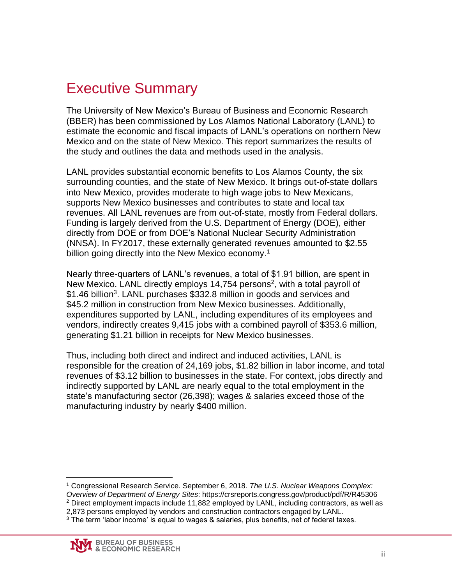## <span id="page-3-0"></span>Executive Summary

The University of New Mexico's Bureau of Business and Economic Research (BBER) has been commissioned by Los Alamos National Laboratory (LANL) to estimate the economic and fiscal impacts of LANL's operations on northern New Mexico and on the state of New Mexico. This report summarizes the results of the study and outlines the data and methods used in the analysis.

LANL provides substantial economic benefits to Los Alamos County, the six surrounding counties, and the state of New Mexico. It brings out-of-state dollars into New Mexico, provides moderate to high wage jobs to New Mexicans, supports New Mexico businesses and contributes to state and local tax revenues. All LANL revenues are from out-of-state, mostly from Federal dollars. Funding is largely derived from the U.S. Department of Energy (DOE), either directly from DOE or from DOE's National Nuclear Security Administration (NNSA). In FY2017, these externally generated revenues amounted to \$2.55 billion going directly into the New Mexico economy.<sup>1</sup>

Nearly three-quarters of LANL's revenues, a total of \$1.91 billion, are spent in New Mexico. LANL directly employs 14,754 persons<sup>2</sup>, with a total payroll of \$1.46 billion<sup>3</sup>. LANL purchases \$332.8 million in goods and services and \$45.2 million in construction from New Mexico businesses. Additionally, expenditures supported by LANL, including expenditures of its employees and vendors, indirectly creates 9,415 jobs with a combined payroll of \$353.6 million, generating \$1.21 billion in receipts for New Mexico businesses.

Thus, including both direct and indirect and induced activities, LANL is responsible for the creation of 24,169 jobs, \$1.82 billion in labor income, and total revenues of \$3.12 billion to businesses in the state. For context, jobs directly and indirectly supported by LANL are nearly equal to the total employment in the state's manufacturing sector (26,398); wages & salaries exceed those of the manufacturing industry by nearly \$400 million.

 $\overline{a}$ <sup>1</sup> Congressional Research Service. September 6, 2018. *The U.S. Nuclear Weapons Complex:*

*Overview of Department of Energy Sites*: https://crsreports.congress.gov/product/pdf/R/R45306

<sup>2</sup> Direct employment impacts include 11,882 employed by LANL, including contractors, as well as

2,873 persons employed by vendors and construction contractors engaged by LANL.

 $3$  The term 'labor income' is equal to wages & salaries, plus benefits, net of federal taxes.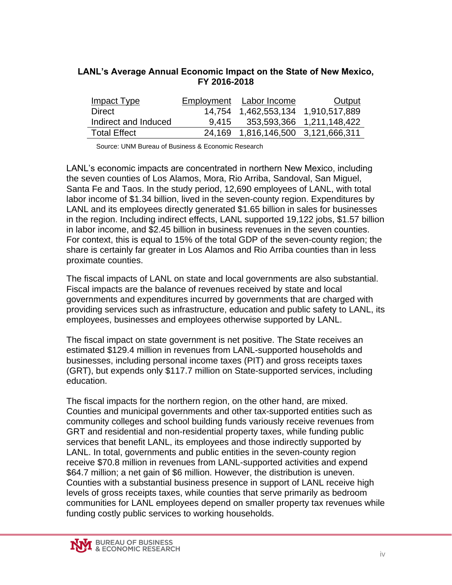| Impact Type          |        | Employment Labor Income            | <b>Output</b>             |
|----------------------|--------|------------------------------------|---------------------------|
| Direct               |        | 14,754 1,462,553,134 1,910,517,889 |                           |
| Indirect and Induced | 9.415  |                                    | 353,593,366 1,211,148,422 |
| <b>Total Effect</b>  | 24.169 | 1,816,146,500 3,121,666,311        |                           |

#### **LANL's Average Annual Economic Impact on the State of New Mexico, FY 2016-2018**

Source: UNM Bureau of Business & Economic Research

LANL's economic impacts are concentrated in northern New Mexico, including the seven counties of Los Alamos, Mora, Rio Arriba, Sandoval, San Miguel, Santa Fe and Taos. In the study period, 12,690 employees of LANL, with total labor income of \$1.34 billion, lived in the seven-county region. Expenditures by LANL and its employees directly generated \$1.65 billion in sales for businesses in the region. Including indirect effects, LANL supported 19,122 jobs, \$1.57 billion in labor income, and \$2.45 billion in business revenues in the seven counties. For context, this is equal to 15% of the total GDP of the seven-county region; the share is certainly far greater in Los Alamos and Rio Arriba counties than in less proximate counties.

The fiscal impacts of LANL on state and local governments are also substantial. Fiscal impacts are the balance of revenues received by state and local governments and expenditures incurred by governments that are charged with providing services such as infrastructure, education and public safety to LANL, its employees, businesses and employees otherwise supported by LANL.

The fiscal impact on state government is net positive. The State receives an estimated \$129.4 million in revenues from LANL-supported households and businesses, including personal income taxes (PIT) and gross receipts taxes (GRT), but expends only \$117.7 million on State-supported services, including education.

The fiscal impacts for the northern region, on the other hand, are mixed. Counties and municipal governments and other tax-supported entities such as community colleges and school building funds variously receive revenues from GRT and residential and non-residential property taxes, while funding public services that benefit LANL, its employees and those indirectly supported by LANL. In total, governments and public entities in the seven-county region receive \$70.8 million in revenues from LANL-supported activities and expend \$64.7 million; a net gain of \$6 million. However, the distribution is uneven. Counties with a substantial business presence in support of LANL receive high levels of gross receipts taxes, while counties that serve primarily as bedroom communities for LANL employees depend on smaller property tax revenues while funding costly public services to working households.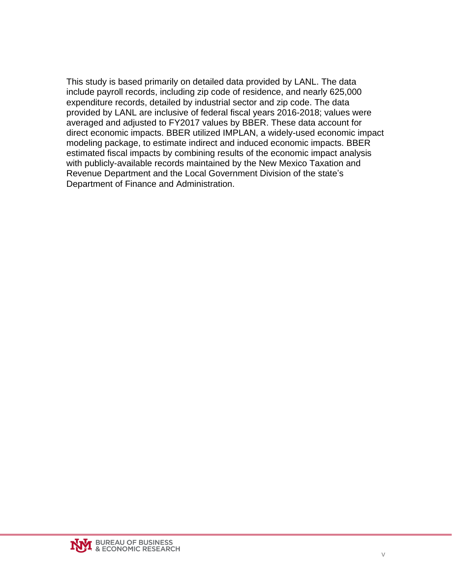This study is based primarily on detailed data provided by LANL. The data include payroll records, including zip code of residence, and nearly 625,000 expenditure records, detailed by industrial sector and zip code. The data provided by LANL are inclusive of federal fiscal years 2016-2018; values were averaged and adjusted to FY2017 values by BBER. These data account for direct economic impacts. BBER utilized IMPLAN, a widely-used economic impact modeling package, to estimate indirect and induced economic impacts. BBER estimated fiscal impacts by combining results of the economic impact analysis with publicly-available records maintained by the New Mexico Taxation and Revenue Department and the Local Government Division of the state's Department of Finance and Administration.

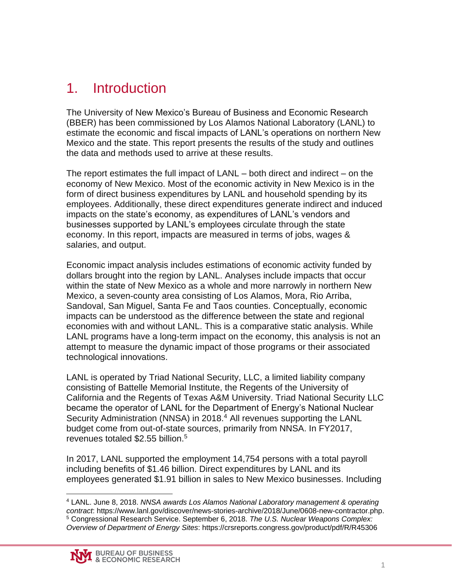### <span id="page-6-0"></span>1. Introduction

The University of New Mexico's Bureau of Business and Economic Research (BBER) has been commissioned by Los Alamos National Laboratory (LANL) to estimate the economic and fiscal impacts of LANL's operations on northern New Mexico and the state. This report presents the results of the study and outlines the data and methods used to arrive at these results.

The report estimates the full impact of LANL – both direct and indirect – on the economy of New Mexico. Most of the economic activity in New Mexico is in the form of direct business expenditures by LANL and household spending by its employees. Additionally, these direct expenditures generate indirect and induced impacts on the state's economy, as expenditures of LANL's vendors and businesses supported by LANL's employees circulate through the state economy. In this report, impacts are measured in terms of jobs, wages & salaries, and output.

Economic impact analysis includes estimations of economic activity funded by dollars brought into the region by LANL. Analyses include impacts that occur within the state of New Mexico as a whole and more narrowly in northern New Mexico, a seven-county area consisting of Los Alamos, Mora, Rio Arriba, Sandoval, San Miguel, Santa Fe and Taos counties. Conceptually, economic impacts can be understood as the difference between the state and regional economies with and without LANL. This is a comparative static analysis. While LANL programs have a long-term impact on the economy, this analysis is not an attempt to measure the dynamic impact of those programs or their associated technological innovations.

LANL is operated by Triad National Security, LLC, a limited liability company consisting of Battelle Memorial Institute, the Regents of the University of California and the Regents of Texas A&M University. Triad National Security LLC became the operator of LANL for the Department of Energy's National Nuclear Security Administration (NNSA) in 2018.<sup>4</sup> All revenues supporting the LANL budget come from out-of-state sources, primarily from NNSA. In FY2017, revenues totaled \$2.55 billion.<sup>5</sup>

In 2017, LANL supported the employment 14,754 persons with a total payroll including benefits of \$1.46 billion. Direct expenditures by LANL and its employees generated \$1.91 billion in sales to New Mexico businesses. Including

 $\overline{a}$ <sup>4</sup> LANL. June 8, 2018. *NNSA awards Los Alamos National Laboratory management & operating contract*: https://www.lanl.gov/discover/news-stories-archive/2018/June/0608-new-contractor.php. <sup>5</sup> Congressional Research Service. September 6, 2018. *The U.S. Nuclear Weapons Complex: Overview of Department of Energy Sites*: https://crsreports.congress.gov/product/pdf/R/R45306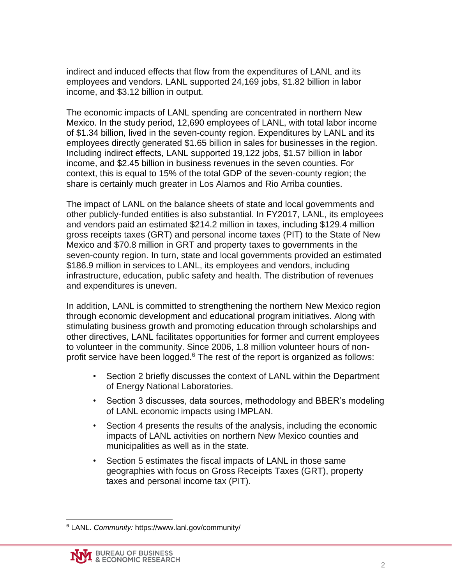indirect and induced effects that flow from the expenditures of LANL and its employees and vendors. LANL supported 24,169 jobs, \$1.82 billion in labor income, and \$3.12 billion in output.

The economic impacts of LANL spending are concentrated in northern New Mexico. In the study period, 12,690 employees of LANL, with total labor income of \$1.34 billion, lived in the seven-county region. Expenditures by LANL and its employees directly generated \$1.65 billion in sales for businesses in the region. Including indirect effects, LANL supported 19,122 jobs, \$1.57 billion in labor income, and \$2.45 billion in business revenues in the seven counties. For context, this is equal to 15% of the total GDP of the seven-county region; the share is certainly much greater in Los Alamos and Rio Arriba counties.

The impact of LANL on the balance sheets of state and local governments and other publicly-funded entities is also substantial. In FY2017, LANL, its employees and vendors paid an estimated \$214.2 million in taxes, including \$129.4 million gross receipts taxes (GRT) and personal income taxes (PIT) to the State of New Mexico and \$70.8 million in GRT and property taxes to governments in the seven-county region. In turn, state and local governments provided an estimated \$186.9 million in services to LANL, its employees and vendors, including infrastructure, education, public safety and health. The distribution of revenues and expenditures is uneven.

In addition, LANL is committed to strengthening the northern New Mexico region through economic development and educational program initiatives. Along with stimulating business growth and promoting education through scholarships and other directives, LANL facilitates opportunities for former and current employees to volunteer in the community. Since 2006, 1.8 million volunteer hours of nonprofit service have been logged. $6$  The rest of the report is organized as follows:

- Section 2 briefly discusses the context of LANL within the Department of Energy National Laboratories.
- Section 3 discusses, data sources, methodology and BBER's modeling of LANL economic impacts using IMPLAN.
- Section 4 presents the results of the analysis, including the economic impacts of LANL activities on northern New Mexico counties and municipalities as well as in the state.
- Section 5 estimates the fiscal impacts of LANL in those same geographies with focus on Gross Receipts Taxes (GRT), property taxes and personal income tax (PIT).

 $\overline{a}$ <sup>6</sup> LANL. *Community:* https://www.lanl.gov/community/

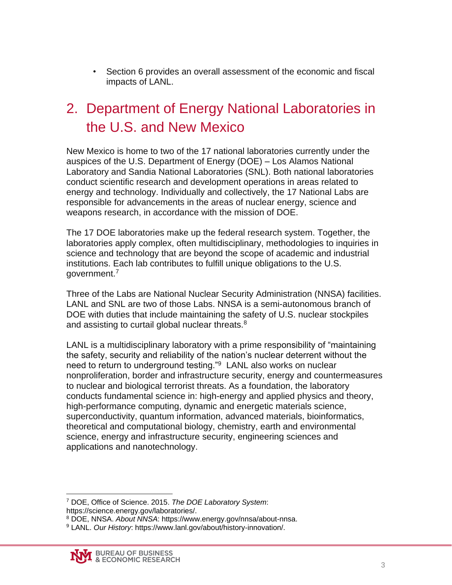• Section 6 provides an overall assessment of the economic and fiscal impacts of LANL.

### <span id="page-8-0"></span>2. Department of Energy National Laboratories in the U.S. and New Mexico

New Mexico is home to two of the 17 national laboratories currently under the auspices of the U.S. Department of Energy (DOE) – Los Alamos National Laboratory and Sandia National Laboratories (SNL). Both national laboratories conduct scientific research and development operations in areas related to energy and technology. Individually and collectively, the 17 National Labs are responsible for advancements in the areas of nuclear energy, science and weapons research, in accordance with the mission of DOE.

The 17 DOE laboratories make up the federal research system. Together, the laboratories apply complex, often multidisciplinary, methodologies to inquiries in science and technology that are beyond the scope of academic and industrial institutions. Each lab contributes to fulfill unique obligations to the U.S. government.<sup>7</sup>

Three of the Labs are National Nuclear Security Administration (NNSA) facilities. LANL and SNL are two of those Labs. NNSA is a semi-autonomous branch of DOE with duties that include maintaining the safety of U.S. nuclear stockpiles and assisting to curtail global nuclear threats.<sup>8</sup>

LANL is a multidisciplinary laboratory with a prime responsibility of "maintaining the safety, security and reliability of the nation's nuclear deterrent without the need to return to underground testing."<sup>9</sup> LANL also works on nuclear nonproliferation, border and infrastructure security, energy and countermeasures to nuclear and biological terrorist threats. As a foundation, the laboratory conducts fundamental science in: high-energy and applied physics and theory, high-performance computing, dynamic and energetic materials science, superconductivity, quantum information, advanced materials, bioinformatics, theoretical and computational biology, chemistry, earth and environmental science, energy and infrastructure security, engineering sciences and applications and nanotechnology.

 $\overline{a}$ <sup>7</sup> DOE, Office of Science. 2015. *The DOE Laboratory System*: https://science.energy.gov/laboratories/.

<sup>8</sup> DOE, NNSA. *About NNSA*: https://www.energy.gov/nnsa/about-nnsa.

<sup>9</sup> LANL. *Our History*: https://www.lanl.gov/about/history-innovation/.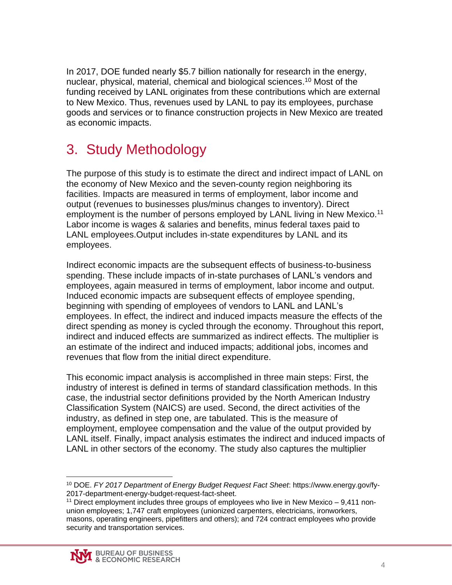In 2017, DOE funded nearly \$5.7 billion nationally for research in the energy, nuclear, physical, material, chemical and biological sciences. <sup>10</sup> Most of the funding received by LANL originates from these contributions which are external to New Mexico. Thus, revenues used by LANL to pay its employees, purchase goods and services or to finance construction projects in New Mexico are treated as economic impacts.

# <span id="page-9-0"></span>3. Study Methodology

The purpose of this study is to estimate the direct and indirect impact of LANL on the economy of New Mexico and the seven-county region neighboring its facilities. Impacts are measured in terms of employment, labor income and output (revenues to businesses plus/minus changes to inventory). Direct employment is the number of persons employed by LANL living in New Mexico.<sup>11</sup> Labor income is wages & salaries and benefits, minus federal taxes paid to LANL employees.Output includes in-state expenditures by LANL and its employees.

Indirect economic impacts are the subsequent effects of business-to-business spending. These include impacts of in-state purchases of LANL's vendors and employees, again measured in terms of employment, labor income and output. Induced economic impacts are subsequent effects of employee spending, beginning with spending of employees of vendors to LANL and LANL's employees. In effect, the indirect and induced impacts measure the effects of the direct spending as money is cycled through the economy. Throughout this report, indirect and induced effects are summarized as indirect effects. The multiplier is an estimate of the indirect and induced impacts; additional jobs, incomes and revenues that flow from the initial direct expenditure.

This economic impact analysis is accomplished in three main steps: First, the industry of interest is defined in terms of standard classification methods. In this case, the industrial sector definitions provided by the North American Industry Classification System (NAICS) are used. Second, the direct activities of the industry, as defined in step one, are tabulated. This is the measure of employment, employee compensation and the value of the output provided by LANL itself. Finally, impact analysis estimates the indirect and induced impacts of LANL in other sectors of the economy. The study also captures the multiplier

 $\overline{a}$ <sup>10</sup> DOE. *FY 2017 Department of Energy Budget Request Fact Sheet*: https://www.energy.gov/fy-2017-department-energy-budget-request-fact-sheet.

<sup>&</sup>lt;sup>11</sup> Direct employment includes three groups of employees who live in New Mexico  $-9,411$  nonunion employees; 1,747 craft employees (unionized carpenters, electricians, ironworkers, masons, operating engineers, pipefitters and others); and 724 contract employees who provide security and transportation services.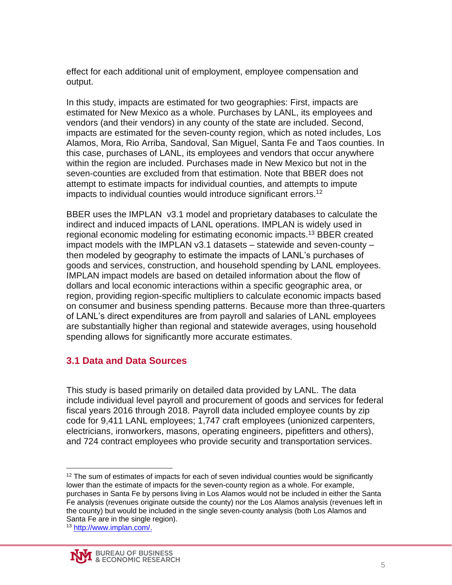effect for each additional unit of employment, employee compensation and output.

In this study, impacts are estimated for two geographies: First, impacts are estimated for New Mexico as a whole. Purchases by LANL, its employees and vendors (and their vendors) in any county of the state are included. Second, impacts are estimated for the seven-county region, which as noted includes, Los Alamos, Mora, Rio Arriba, Sandoval, San Miguel, Santa Fe and Taos counties. In this case, purchases of LANL, its employees and vendors that occur anywhere within the region are included. Purchases made in New Mexico but not in the seven-counties are excluded from that estimation. Note that BBER does not attempt to estimate impacts for individual counties, and attempts to impute impacts to individual counties would introduce significant errors.<sup>12</sup>

BBER uses the IMPLAN v3.1 model and proprietary databases to calculate the indirect and induced impacts of LANL operations. IMPLAN is widely used in regional economic modeling for estimating economic impacts.<sup>13</sup> BBER created impact models with the IMPLAN v3.1 datasets – statewide and seven-county – then modeled by geography to estimate the impacts of LANL's purchases of goods and services, construction, and household spending by LANL employees. IMPLAN impact models are based on detailed information about the flow of dollars and local economic interactions within a specific geographic area, or region, providing region-specific multipliers to calculate economic impacts based on consumer and business spending patterns. Because more than three-quarters of LANL's direct expenditures are from payroll and salaries of LANL employees are substantially higher than regional and statewide averages, using household spending allows for significantly more accurate estimates.

### <span id="page-10-0"></span>**3.1 Data and Data Sources**

This study is based primarily on detailed data provided by LANL. The data include individual level payroll and procurement of goods and services for federal fiscal years 2016 through 2018. Payroll data included employee counts by zip code for 9,411 LANL employees; 1,747 craft employees (unionized carpenters, electricians, ironworkers, masons, operating engineers, pipefitters and others), and 724 contract employees who provide security and transportation services.

 $\overline{a}$  $12$  The sum of estimates of impacts for each of seven individual counties would be significantly lower than the estimate of impacts for the seven-county region as a whole. For example, purchases in Santa Fe by persons living in Los Alamos would not be included in either the Santa Fe analysis (revenues originate outside the county) nor the Los Alamos analysis (revenues left in the county) but would be included in the single seven-county analysis (both Los Alamos and Santa Fe are in the single region).

<sup>13</sup> http://www.implan.com/.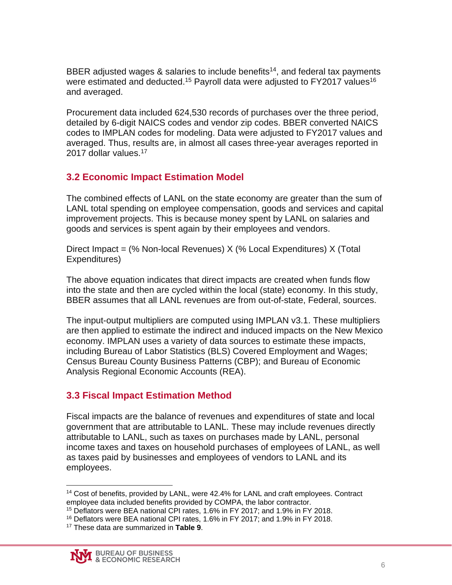BBER adjusted wages  $\&$  salaries to include benefits<sup>14</sup>, and federal tax payments were estimated and deducted.<sup>15</sup> Payroll data were adjusted to FY2017 values<sup>16</sup> and averaged.

Procurement data included 624,530 records of purchases over the three period, detailed by 6-digit NAICS codes and vendor zip codes. BBER converted NAICS codes to IMPLAN codes for modeling. Data were adjusted to FY2017 values and averaged. Thus, results are, in almost all cases three-year averages reported in 2017 dollar values.<sup>17</sup>

### <span id="page-11-0"></span>**3.2 Economic Impact Estimation Model**

The combined effects of LANL on the state economy are greater than the sum of LANL total spending on employee compensation, goods and services and capital improvement projects. This is because money spent by LANL on salaries and goods and services is spent again by their employees and vendors.

Direct Impact = (% Non-local Revenues) X (% Local Expenditures) X (Total Expenditures)

The above equation indicates that direct impacts are created when funds flow into the state and then are cycled within the local (state) economy. In this study, BBER assumes that all LANL revenues are from out-of-state, Federal, sources.

The input-output multipliers are computed using IMPLAN v3.1. These multipliers are then applied to estimate the indirect and induced impacts on the New Mexico economy. IMPLAN uses a variety of data sources to estimate these impacts, including Bureau of Labor Statistics (BLS) Covered Employment and Wages; Census Bureau County Business Patterns (CBP); and Bureau of Economic Analysis Regional Economic Accounts (REA).

### <span id="page-11-1"></span>**3.3 Fiscal Impact Estimation Method**

Fiscal impacts are the balance of revenues and expenditures of state and local government that are attributable to LANL. These may include revenues directly attributable to LANL, such as taxes on purchases made by LANL, personal income taxes and taxes on household purchases of employees of LANL, as well as taxes paid by businesses and employees of vendors to LANL and its employees.

 $\overline{a}$ 

<sup>&</sup>lt;sup>14</sup> Cost of benefits, provided by LANL, were 42.4% for LANL and craft employees. Contract employee data included benefits provided by COMPA, the labor contractor.

<sup>15</sup> Deflators were BEA national CPI rates, 1.6% in FY 2017; and 1.9% in FY 2018.

<sup>&</sup>lt;sup>16</sup> Deflators were BEA national CPI rates, 1.6% in FY 2017; and 1.9% in FY 2018.

<sup>17</sup> These data are summarized in **Table 9**.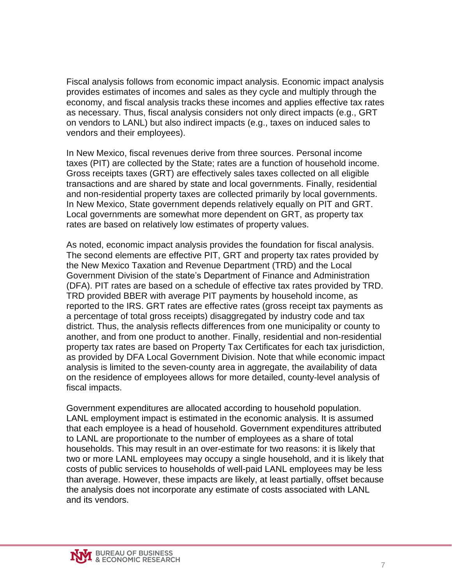Fiscal analysis follows from economic impact analysis. Economic impact analysis provides estimates of incomes and sales as they cycle and multiply through the economy, and fiscal analysis tracks these incomes and applies effective tax rates as necessary. Thus, fiscal analysis considers not only direct impacts (e.g., GRT on vendors to LANL) but also indirect impacts (e.g., taxes on induced sales to vendors and their employees).

In New Mexico, fiscal revenues derive from three sources. Personal income taxes (PIT) are collected by the State; rates are a function of household income. Gross receipts taxes (GRT) are effectively sales taxes collected on all eligible transactions and are shared by state and local governments. Finally, residential and non-residential property taxes are collected primarily by local governments. In New Mexico, State government depends relatively equally on PIT and GRT. Local governments are somewhat more dependent on GRT, as property tax rates are based on relatively low estimates of property values.

As noted, economic impact analysis provides the foundation for fiscal analysis. The second elements are effective PIT, GRT and property tax rates provided by the New Mexico Taxation and Revenue Department (TRD) and the Local Government Division of the state's Department of Finance and Administration (DFA). PIT rates are based on a schedule of effective tax rates provided by TRD. TRD provided BBER with average PIT payments by household income, as reported to the IRS. GRT rates are effective rates (gross receipt tax payments as a percentage of total gross receipts) disaggregated by industry code and tax district. Thus, the analysis reflects differences from one municipality or county to another, and from one product to another. Finally, residential and non-residential property tax rates are based on Property Tax Certificates for each tax jurisdiction, as provided by DFA Local Government Division. Note that while economic impact analysis is limited to the seven-county area in aggregate, the availability of data on the residence of employees allows for more detailed, county-level analysis of fiscal impacts.

Government expenditures are allocated according to household population. LANL employment impact is estimated in the economic analysis. It is assumed that each employee is a head of household. Government expenditures attributed to LANL are proportionate to the number of employees as a share of total households. This may result in an over-estimate for two reasons: it is likely that two or more LANL employees may occupy a single household, and it is likely that costs of public services to households of well-paid LANL employees may be less than average. However, these impacts are likely, at least partially, offset because the analysis does not incorporate any estimate of costs associated with LANL and its vendors.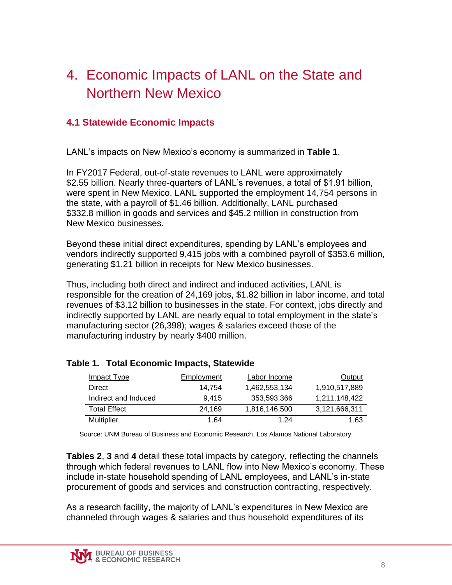### <span id="page-13-0"></span>4. Economic Impacts of LANL on the State and Northern New Mexico

### <span id="page-13-1"></span>**4.1 Statewide Economic Impacts**

LANL's impacts on New Mexico's economy is summarized in **Table 1**.

In FY2017 Federal, out-of-state revenues to LANL were approximately \$2.55 billion. Nearly three-quarters of LANL's revenues, a total of \$1.91 billion, were spent in New Mexico. LANL supported the employment 14,754 persons in the state, with a payroll of \$1.46 billion. Additionally, LANL purchased \$332.8 million in goods and services and \$45.2 million in construction from New Mexico businesses.

Beyond these initial direct expenditures, spending by LANL's employees and vendors indirectly supported 9,415 jobs with a combined payroll of \$353.6 million, generating \$1.21 billion in receipts for New Mexico businesses.

Thus, including both direct and indirect and induced activities, LANL is responsible for the creation of 24,169 jobs, \$1.82 billion in labor income, and total revenues of \$3.12 billion to businesses in the state. For context, jobs directly and indirectly supported by LANL are nearly equal to total employment in the state's manufacturing sector (26,398); wages & salaries exceed those of the manufacturing industry by nearly \$400 million.

| <b>Impact Type</b>   | Employment | Labor Income  | Output        |
|----------------------|------------|---------------|---------------|
| Direct               | 14.754     | 1,462,553,134 | 1,910,517,889 |
| Indirect and Induced | 9.415      | 353.593.366   | 1,211,148,422 |
| <b>Total Effect</b>  | 24.169     | 1,816,146,500 | 3,121,666,311 |
| <b>Multiplier</b>    | 1.64       | 1 24          | 1.63          |

#### <span id="page-13-2"></span>**Table 1. Total Economic Impacts, Statewide**

Source: UNM Bureau of Business and Economic Research, Los Alamos National Laboratory

**Tables 2**, **3** and **4** detail these total impacts by category, reflecting the channels through which federal revenues to LANL flow into New Mexico's economy. These include in-state household spending of LANL employees, and LANL's in-state procurement of goods and services and construction contracting, respectively.

As a research facility, the majority of LANL's expenditures in New Mexico are channeled through wages & salaries and thus household expenditures of its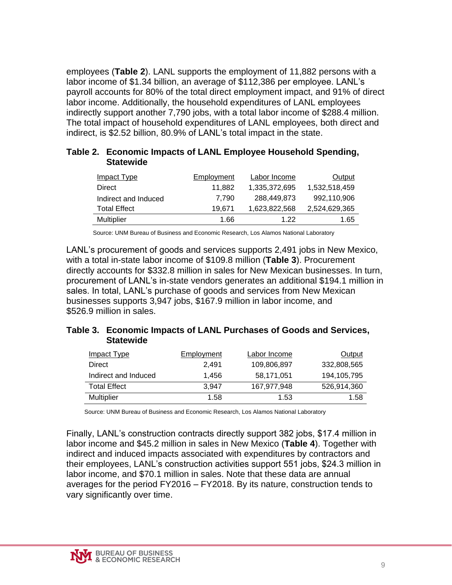employees (**Table 2**). LANL supports the employment of 11,882 persons with a labor income of \$1.34 billion, an average of \$112,386 per employee. LANL's payroll accounts for 80% of the total direct employment impact, and 91% of direct labor income. Additionally, the household expenditures of LANL employees indirectly support another 7,790 jobs, with a total labor income of \$288.4 million. The total impact of household expenditures of LANL employees, both direct and indirect, is \$2.52 billion, 80.9% of LANL's total impact in the state.

<span id="page-14-0"></span>

| Table 2. Economic Impacts of LANL Employee Household Spending, |
|----------------------------------------------------------------|
| <b>Statewide</b>                                               |

| Impact Type          | Employment | Labor Income  | Output        |
|----------------------|------------|---------------|---------------|
| Direct               | 11.882     | 1,335,372,695 | 1,532,518,459 |
| Indirect and Induced | 7.790      | 288,449,873   | 992,110,906   |
| <b>Total Effect</b>  | 19.671     | 1,623,822,568 | 2,524,629,365 |
| Multiplier           | 1.66       | 1 22          | 1.65          |

Source: UNM Bureau of Business and Economic Research, Los Alamos National Laboratory

LANL's procurement of goods and services supports 2,491 jobs in New Mexico, with a total in-state labor income of \$109.8 million (**Table 3**). Procurement directly accounts for \$332.8 million in sales for New Mexican businesses. In turn, procurement of LANL's in-state vendors generates an additional \$194.1 million in sales. In total, LANL's purchase of goods and services from New Mexican businesses supports 3,947 jobs, \$167.9 million in labor income, and \$526.9 million in sales.

#### <span id="page-14-1"></span>**Table 3. Economic Impacts of LANL Purchases of Goods and Services, Statewide**

| Employment | Labor Income | Output      |
|------------|--------------|-------------|
| 2.491      | 109,806,897  | 332,808,565 |
| 1.456      | 58,171,051   | 194,105,795 |
| 3.947      | 167.977.948  | 526,914,360 |
| 1.58       | 1.53         | 1.58        |
|            |              |             |

Source: UNM Bureau of Business and Economic Research, Los Alamos National Laboratory

Finally, LANL's construction contracts directly support 382 jobs, \$17.4 million in labor income and \$45.2 million in sales in New Mexico (**Table 4**). Together with indirect and induced impacts associated with expenditures by contractors and their employees, LANL's construction activities support 551 jobs, \$24.3 million in labor income, and \$70.1 million in sales. Note that these data are annual averages for the period FY2016 – FY2018. By its nature, construction tends to vary significantly over time.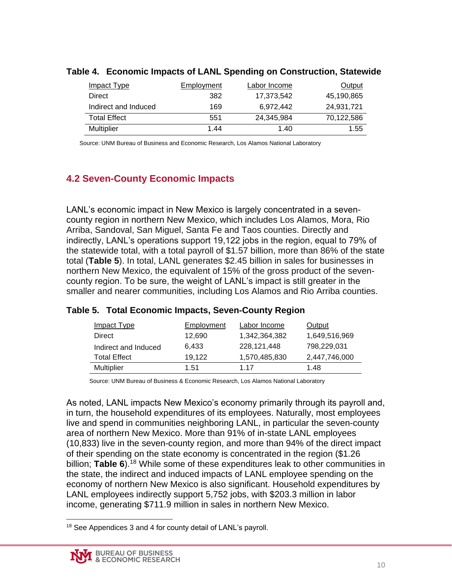| <u>Impact Type</u>   | Employment | Labor Income | Output     |
|----------------------|------------|--------------|------------|
| Direct               | 382        | 17,373,542   | 45,190,865 |
| Indirect and Induced | 169        | 6.972.442    | 24.931.721 |
| <b>Total Effect</b>  | 551        | 24.345.984   | 70,122,586 |
| Multiplier           | 1.44       | 1.40         | 1.55       |

#### <span id="page-15-1"></span>**Table 4. Economic Impacts of LANL Spending on Construction, Statewide**

Source: UNM Bureau of Business and Economic Research, Los Alamos National Laboratory

### <span id="page-15-0"></span>**4.2 Seven-County Economic Impacts**

LANL's economic impact in New Mexico is largely concentrated in a sevencounty region in northern New Mexico, which includes Los Alamos, Mora, Rio Arriba, Sandoval, San Miguel, Santa Fe and Taos counties. Directly and indirectly, LANL's operations support 19,122 jobs in the region, equal to 79% of the statewide total, with a total payroll of \$1.57 billion, more than 86% of the state total (**Table 5**). In total, LANL generates \$2.45 billion in sales for businesses in northern New Mexico, the equivalent of 15% of the gross product of the sevencounty region. To be sure, the weight of LANL's impact is still greater in the smaller and nearer communities, including Los Alamos and Rio Arriba counties.

| Impact Type          | Employment | Labor Income  | Output        |
|----------------------|------------|---------------|---------------|
| Direct               | 12.690     | 1.342.364.382 | 1,649,516,969 |
| Indirect and Induced | 6.433      | 228,121,448   | 798,229,031   |
| Total Effect         | 19.122     | 1,570,485,830 | 2,447,746,000 |
| Multiplier           | 1.51       | 1 17          | 1.48          |

#### <span id="page-15-2"></span>**Table 5. Total Economic Impacts, Seven-County Region**

Source: UNM Bureau of Business & Economic Research, Los Alamos National Laboratory

As noted, LANL impacts New Mexico's economy primarily through its payroll and, in turn, the household expenditures of its employees. Naturally, most employees live and spend in communities neighboring LANL, in particular the seven-county area of northern New Mexico. More than 91% of in-state LANL employees (10,833) live in the seven-county region, and more than 94% of the direct impact of their spending on the state economy is concentrated in the region (\$1.26 billion; **Table 6**). <sup>18</sup> While some of these expenditures leak to other communities in the state, the indirect and induced impacts of LANL employee spending on the economy of northern New Mexico is also significant. Household expenditures by LANL employees indirectly support 5,752 jobs, with \$203.3 million in labor income, generating \$711.9 million in sales in northern New Mexico.

 $\overline{a}$ <sup>18</sup> See Appendices 3 and 4 for county detail of LANL's payroll.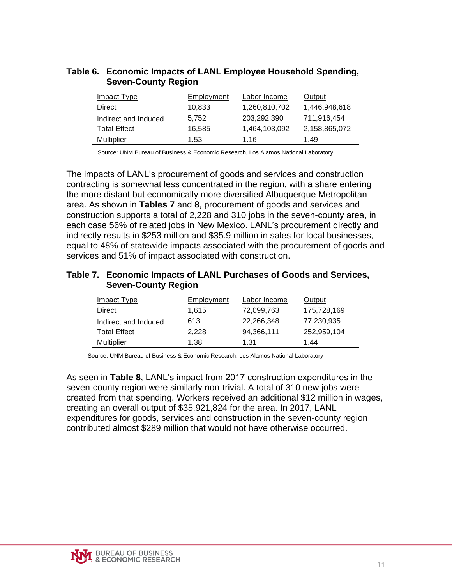#### <span id="page-16-0"></span>**Table 6. Economic Impacts of LANL Employee Household Spending, Seven-County Region**

| Impact Type          | Employment | Labor Income  | Output        |
|----------------------|------------|---------------|---------------|
| Direct               | 10,833     | 1,260,810,702 | 1,446,948,618 |
| Indirect and Induced | 5.752      | 203.292.390   | 711.916.454   |
| <b>Total Effect</b>  | 16.585     | 1,464,103,092 | 2,158,865,072 |
| <b>Multiplier</b>    | 1.53       | 1.16          | 1.49          |

Source: UNM Bureau of Business & Economic Research, Los Alamos National Laboratory

The impacts of LANL's procurement of goods and services and construction contracting is somewhat less concentrated in the region, with a share entering the more distant but economically more diversified Albuquerque Metropolitan area. As shown in **Tables 7** and **8**, procurement of goods and services and construction supports a total of 2,228 and 310 jobs in the seven-county area, in each case 56% of related jobs in New Mexico. LANL's procurement directly and indirectly results in \$253 million and \$35.9 million in sales for local businesses, equal to 48% of statewide impacts associated with the procurement of goods and services and 51% of impact associated with construction.

#### <span id="page-16-1"></span>**Table 7. Economic Impacts of LANL Purchases of Goods and Services, Seven-County Region**

| <b>Impact Type</b>   | <b>Employment</b> | Labor Income | <b>Output</b> |
|----------------------|-------------------|--------------|---------------|
| Direct               | 1,615             | 72,099,763   | 175,728,169   |
| Indirect and Induced | 613               | 22,266,348   | 77,230,935    |
| <b>Total Effect</b>  | 2,228             | 94,366,111   | 252,959,104   |
| <b>Multiplier</b>    | 1.38              | 1.31         | 1.44          |

Source: UNM Bureau of Business & Economic Research, Los Alamos National Laboratory

As seen in **Table 8**, LANL's impact from 2017 construction expenditures in the seven-county region were similarly non-trivial. A total of 310 new jobs were created from that spending. Workers received an additional \$12 million in wages, creating an overall output of \$35,921,824 for the area. In 2017, LANL expenditures for goods, services and construction in the seven-county region contributed almost \$289 million that would not have otherwise occurred.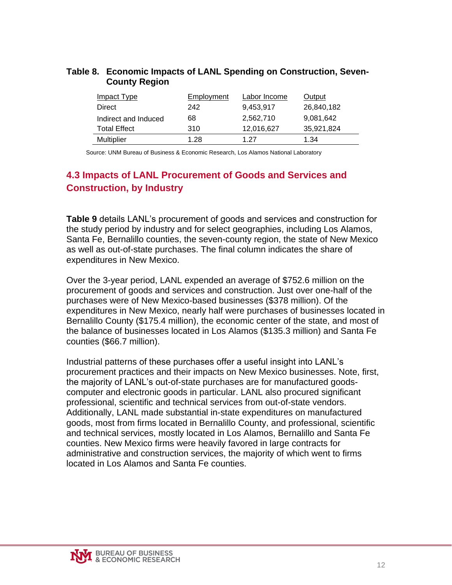| <b>County Region</b> |            |              |            |
|----------------------|------------|--------------|------------|
| <b>Impact Type</b>   | Employment | Labor Income | Output     |
| Direct               | 242        | 9,453,917    | 26,840,182 |
| Indirect and Induced | 68         | 2,562,710    | 9,081,642  |
| Total Effect         | 310        | 12,016,627   | 35,921,824 |
| Multiplier           | .28        |              | 1.34       |

# <span id="page-17-1"></span>**Table 8. Economic Impacts of LANL Spending on Construction, Seven-**

Source: UNM Bureau of Business & Economic Research, Los Alamos National Laboratory

### <span id="page-17-0"></span>**4.3 Impacts of LANL Procurement of Goods and Services and Construction, by Industry**

**Table 9** details LANL's procurement of goods and services and construction for the study period by industry and for select geographies, including Los Alamos, Santa Fe, Bernalillo counties, the seven-county region, the state of New Mexico as well as out-of-state purchases. The final column indicates the share of expenditures in New Mexico.

Over the 3-year period, LANL expended an average of \$752.6 million on the procurement of goods and services and construction. Just over one-half of the purchases were of New Mexico-based businesses (\$378 million). Of the expenditures in New Mexico, nearly half were purchases of businesses located in Bernalillo County (\$175.4 million), the economic center of the state, and most of the balance of businesses located in Los Alamos (\$135.3 million) and Santa Fe counties (\$66.7 million).

Industrial patterns of these purchases offer a useful insight into LANL's procurement practices and their impacts on New Mexico businesses. Note, first, the majority of LANL's out-of-state purchases are for manufactured goodscomputer and electronic goods in particular. LANL also procured significant professional, scientific and technical services from out-of-state vendors. Additionally, LANL made substantial in-state expenditures on manufactured goods, most from firms located in Bernalillo County, and professional, scientific and technical services, mostly located in Los Alamos, Bernalillo and Santa Fe counties. New Mexico firms were heavily favored in large contracts for administrative and construction services, the majority of which went to firms located in Los Alamos and Santa Fe counties.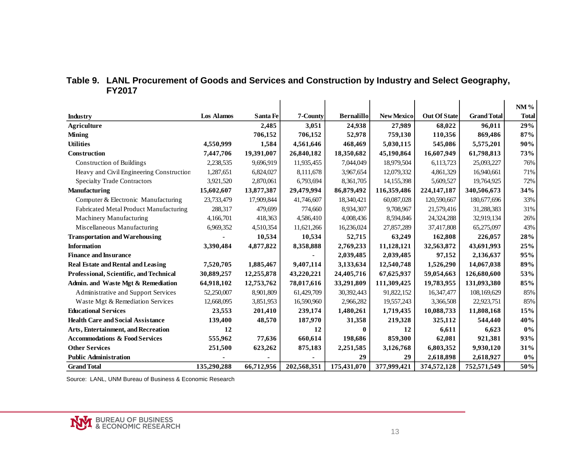<span id="page-18-0"></span>

|                                           |                   |            |             |                   |                   |                     |                    | NM%          |
|-------------------------------------------|-------------------|------------|-------------|-------------------|-------------------|---------------------|--------------------|--------------|
| Industry                                  | <b>Los Alamos</b> | Santa Fe   | 7-County    | <b>Bernalillo</b> | <b>New Mexico</b> | <b>Out Of State</b> | <b>Grand Total</b> | <b>Total</b> |
| <b>Agriculture</b>                        |                   | 2,485      | 3,051       | 24,938            | 27,989            | 68,022              | 96,011             | 29%          |
| <b>Mining</b>                             |                   | 706,152    | 706,152     | 52,978            | 759,130           | 110,356             | 869,486            | 87%          |
| <b>Utilities</b>                          | 4,550,999         | 1,584      | 4,561,646   | 468,469           | 5,030,115         | 545,086             | 5,575,201          | 90%          |
| Construction                              | 7,447,706         | 19,391,007 | 26,840,182  | 18,350,682        | 45,190,864        | 16,607,949          | 61,798,813         | 73%          |
| Construction of Buildings                 | 2,238,535         | 9,696,919  | 11,935,455  | 7,044,049         | 18,979,504        | 6,113,723           | 25,093,227         | 76%          |
| Heavy and Civil Engineering Construction  | 1,287,651         | 6,824,027  | 8,111,678   | 3,967,654         | 12,079,332        | 4,861,329           | 16,940,661         | 71%          |
| <b>Specialty Trade Contractors</b>        | 3,921,520         | 2,870,061  | 6,793,694   | 8,361,705         | 14, 155, 398      | 5,609,527           | 19,764,925         | 72%          |
| <b>Manufacturing</b>                      | 15,602,607        | 13,877,387 | 29,479,994  | 86,879,492        | 116,359,486       | 224, 147, 187       | 340,506,673        | 34%          |
| Computer & Electronic Manufacturing       | 23,733,479        | 17,909,844 | 41,746,607  | 18,340,421        | 60,087,028        | 120,590,667         | 180,677,696        | 33%          |
| Fabricated Metal Product Manufacturing    | 288,317           | 479.699    | 774,660     | 8,934,307         | 9,708,967         | 21,579,416          | 31,288,383         | 31%          |
| Machinery Manufacturing                   |                   | 418,363    | 4,586,410   | 4,008,436         | 8,594,846         |                     | 32,919,134         | 26%          |
|                                           | 4,166,701         |            |             |                   |                   | 24,324,288          |                    |              |
| Miscellaneous Manufacturing               | 6,969,352         | 4,510,354  | 11,621,266  | 16,236,024        | 27,857,289        | 37,417,808          | 65,275,097         | 43%          |
| <b>Transportation and Warehousing</b>     |                   | 10,534     | 10,534      | 52,715            | 63,249            | 162,808             | 226,057            | 28%          |
| <b>Information</b>                        | 3,390,484         | 4,877,822  | 8,358,888   | 2,769,233         | 11,128,121        | 32,563,872          | 43,691,993         | 25%          |
| <b>Finance and Insurance</b>              |                   |            |             | 2,039,485         | 2,039,485         | 97,152              | 2,136,637          | 95%          |
| <b>Real Estate and Rental and Leasing</b> | 7,520,705         | 1,885,467  | 9,407,114   | 3,133,634         | 12,540,748        | 1,526,290           | 14,067,038         | 89%          |
| Professional, Scientific, and Technical   | 30,889,257        | 12,255,878 | 43,220,221  | 24,405,716        | 67,625,937        | 59,054,663          | 126,680,600        | 53%          |
| Admin. and Waste Mgt & Remediation        | 64,918,102        | 12,753,762 | 78,017,616  | 33,291,809        | 111,309,425       | 19,783,955          | 131,093,380        | 85%          |
| Administrative and Support Services       | 52,250,007        | 8,901,809  | 61,429,709  | 30,392,443        | 91,822,152        | 16,347,477          | 108,169,629        | 85%          |
| Waste Mgt & Remediation Services          | 12,668,095        | 3,851,953  | 16,590,960  | 2,966,282         | 19,557,243        | 3,366,508           | 22,923,751         | 85%          |
| <b>Educational Services</b>               | 23,553            | 201,410    | 239,174     | 1,480,261         | 1,719,435         | 10,088,733          | 11,808,168         | 15%          |
| <b>Health Care and Social Assistance</b>  | 139,400           | 48,570     | 187,970     | 31,358            | 219,328           | 325,112             | 544,440            | 40%          |
| Arts, Entertainment, and Recreation       | 12                |            | 12          | 0                 | 12                | 6,611               | 6,623              | $0\%$        |
| <b>Accommodations &amp; Food Services</b> | 555,962           | 77,636     | 660,614     | 198,686           | 859,300           | 62,081              | 921,381            | 93%          |
| <b>Other Services</b>                     | 251,500           | 623,262    | 875,183     | 2,251,585         | 3,126,768         | 6,803,352           | 9,930,120          | 31%          |
| <b>Public Administration</b>              |                   |            |             | 29                | 29                | 2,618,898           | 2,618,927          | $0\%$        |
| <b>Grand Total</b>                        | 135,290,288       | 66,712,956 | 202,568,351 | 175,431,070       | 377,999,421       | 374,572,128         | 752,571,549        | 50%          |

#### **Table 9. LANL Procurement of Goods and Services and Construction by Industry and Select Geography, FY2017**

Source: LANL, UNM Bureau of Business & Economic Research

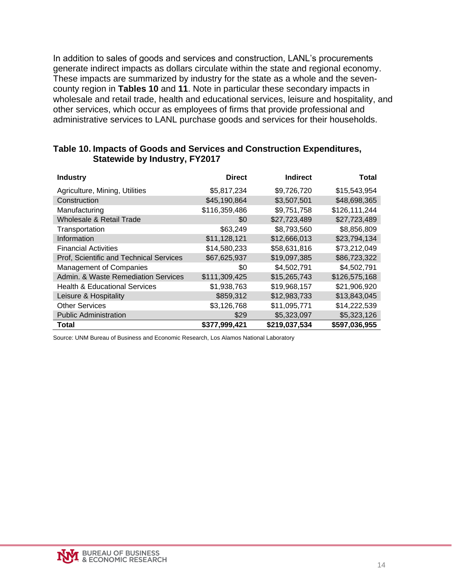In addition to sales of goods and services and construction, LANL's procurements generate indirect impacts as dollars circulate within the state and regional economy. These impacts are summarized by industry for the state as a whole and the sevencounty region in **Tables 10** and **11**. Note in particular these secondary impacts in wholesale and retail trade, health and educational services, leisure and hospitality, and other services, which occur as employees of firms that provide professional and administrative services to LANL purchase goods and services for their households.

| <b>Industry</b>                          | <b>Direct</b> | <b>Indirect</b> | Total         |
|------------------------------------------|---------------|-----------------|---------------|
| Agriculture, Mining, Utilities           | \$5,817,234   | \$9,726,720     | \$15,543,954  |
| Construction                             | \$45,190,864  | \$3,507,501     | \$48,698,365  |
| Manufacturing                            | \$116,359,486 | \$9,751,758     | \$126,111,244 |
| Wholesale & Retail Trade                 | \$0           | \$27,723,489    | \$27,723,489  |
| Transportation                           | \$63,249      | \$8,793,560     | \$8,856,809   |
| Information                              | \$11,128,121  | \$12,666,013    | \$23,794,134  |
| <b>Financial Activities</b>              | \$14,580,233  | \$58,631,816    | \$73,212,049  |
| Prof, Scientific and Technical Services  | \$67,625,937  | \$19,097,385    | \$86,723,322  |
| <b>Management of Companies</b>           | \$0           | \$4,502,791     | \$4,502,791   |
| Admin. & Waste Remediation Services      | \$111,309,425 | \$15,265,743    | \$126,575,168 |
| <b>Health &amp; Educational Services</b> | \$1,938,763   | \$19,968,157    | \$21,906,920  |
| Leisure & Hospitality                    | \$859,312     | \$12,983,733    | \$13,843,045  |
| <b>Other Services</b>                    | \$3,126,768   | \$11,095,771    | \$14,222,539  |
| <b>Public Administration</b>             | \$29          | \$5,323,097     | \$5,323,126   |
| Total                                    | \$377,999,421 | \$219,037,534   | \$597,036,955 |

#### <span id="page-19-0"></span>**Table 10. Impacts of Goods and Services and Construction Expenditures, Statewide by Industry, FY2017**

Source: UNM Bureau of Business and Economic Research, Los Alamos National Laboratory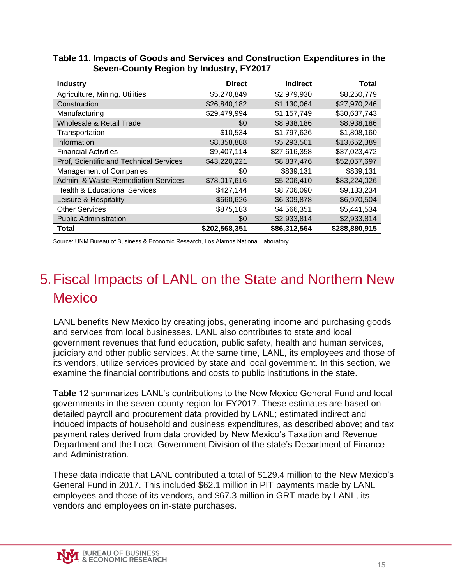| <b>Industry</b>                          | <b>Direct</b> | <b>Indirect</b> | Total         |
|------------------------------------------|---------------|-----------------|---------------|
| Agriculture, Mining, Utilities           | \$5,270,849   | \$2,979,930     | \$8,250,779   |
| Construction                             | \$26,840,182  | \$1,130,064     | \$27,970,246  |
| Manufacturing                            | \$29,479,994  | \$1,157,749     | \$30,637,743  |
| Wholesale & Retail Trade                 | \$0           | \$8,938,186     | \$8,938,186   |
| Transportation                           | \$10,534      | \$1,797,626     | \$1,808,160   |
| Information                              | \$8,358,888   | \$5,293,501     | \$13,652,389  |
| <b>Financial Activities</b>              | \$9,407,114   | \$27,616,358    | \$37,023,472  |
| Prof, Scientific and Technical Services  | \$43,220,221  | \$8,837,476     | \$52,057,697  |
| <b>Management of Companies</b>           | \$0           | \$839,131       | \$839,131     |
| Admin. & Waste Remediation Services      | \$78,017,616  | \$5,206,410     | \$83,224,026  |
| <b>Health &amp; Educational Services</b> | \$427,144     | \$8,706,090     | \$9,133,234   |
| Leisure & Hospitality                    | \$660,626     | \$6,309,878     | \$6,970,504   |
| <b>Other Services</b>                    | \$875,183     | \$4,566,351     | \$5,441,534   |
| <b>Public Administration</b>             | \$0           | \$2,933,814     | \$2,933,814   |
| Total                                    | \$202,568,351 | \$86,312,564    | \$288,880,915 |

#### <span id="page-20-1"></span>**Table 11. Impacts of Goods and Services and Construction Expenditures in the Seven-County Region by Industry, FY2017**

Source: UNM Bureau of Business & Economic Research, Los Alamos National Laboratory

## <span id="page-20-0"></span>5.Fiscal Impacts of LANL on the State and Northern New **Mexico**

LANL benefits New Mexico by creating jobs, generating income and purchasing goods and services from local businesses. LANL also contributes to state and local government revenues that fund education, public safety, health and human services, judiciary and other public services. At the same time, LANL, its employees and those of its vendors, utilize services provided by state and local government. In this section, we examine the financial contributions and costs to public institutions in the state.

**Table** 12 summarizes LANL's contributions to the New Mexico General Fund and local governments in the seven-county region for FY2017. These estimates are based on detailed payroll and procurement data provided by LANL; estimated indirect and induced impacts of household and business expenditures, as described above; and tax payment rates derived from data provided by New Mexico's Taxation and Revenue Department and the Local Government Division of the state's Department of Finance and Administration.

These data indicate that LANL contributed a total of \$129.4 million to the New Mexico's General Fund in 2017. This included \$62.1 million in PIT payments made by LANL employees and those of its vendors, and \$67.3 million in GRT made by LANL, its vendors and employees on in-state purchases.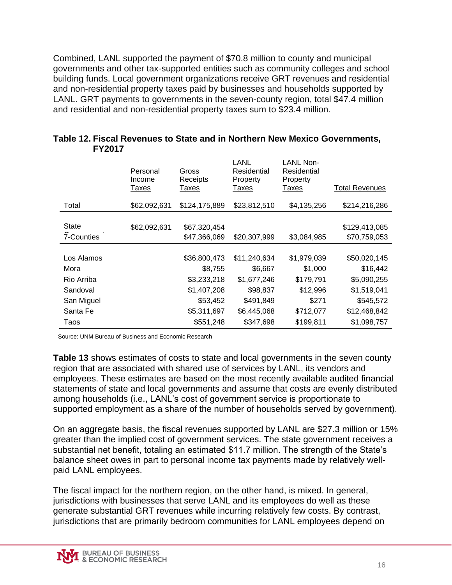Combined, LANL supported the payment of \$70.8 million to county and municipal governments and other tax-supported entities such as community colleges and school building funds. Local government organizations receive GRT revenues and residential and non-residential property taxes paid by businesses and households supported by LANL. GRT payments to governments in the seven-county region, total \$47.4 million and residential and non-residential property taxes sum to \$23.4 million.

|              | Personal<br>Income | Gross<br>Receipts | LANL<br>Residential<br>Property | <b>LANL Non-</b><br>Residential<br>Property |                       |
|--------------|--------------------|-------------------|---------------------------------|---------------------------------------------|-----------------------|
|              | Taxes              | Taxes             | Taxes                           | Taxes                                       | <b>Total Revenues</b> |
| Total        | \$62,092,631       | \$124,175,889     | \$23,812,510                    | \$4,135,256                                 | \$214,216,286         |
|              |                    |                   |                                 |                                             |                       |
| <b>State</b> | \$62,092,631       | \$67,320,454      |                                 |                                             | \$129,413,085         |
| 7-Counties   |                    | \$47,366,069      | \$20,307,999                    | \$3,084,985                                 | \$70,759,053          |
|              |                    |                   |                                 |                                             |                       |
| Los Alamos   |                    | \$36,800,473      | \$11,240,634                    | \$1,979,039                                 | \$50,020,145          |
| Mora         |                    | \$8,755           | \$6,667                         | \$1,000                                     | \$16,442              |
| Rio Arriba   |                    | \$3,233,218       | \$1,677,246                     | \$179,791                                   | \$5,090,255           |
| Sandoval     |                    | \$1,407,208       | \$98,837                        | \$12,996                                    | \$1,519,041           |
| San Miguel   |                    | \$53,452          | \$491,849                       | \$271                                       | \$545,572             |
| Santa Fe     |                    | \$5,311,697       | \$6,445,068                     | \$712,077                                   | \$12,468,842          |
| Taos         |                    | \$551,248         | \$347,698                       | \$199,811                                   | \$1,098,757           |

<span id="page-21-0"></span>

| Table 12. Fiscal Revenues to State and in Northern New Mexico Governments, |  |
|----------------------------------------------------------------------------|--|
| <b>FY2017</b>                                                              |  |

Source: UNM Bureau of Business and Economic Research

**Table 13** shows estimates of costs to state and local governments in the seven county region that are associated with shared use of services by LANL, its vendors and employees. These estimates are based on the most recently available audited financial statements of state and local governments and assume that costs are evenly distributed among households (i.e., LANL's cost of government service is proportionate to supported employment as a share of the number of households served by government).

On an aggregate basis, the fiscal revenues supported by LANL are \$27.3 million or 15% greater than the implied cost of government services. The state government receives a substantial net benefit, totaling an estimated \$11.7 million. The strength of the State's balance sheet owes in part to personal income tax payments made by relatively wellpaid LANL employees.

The fiscal impact for the northern region, on the other hand, is mixed. In general, jurisdictions with businesses that serve LANL and its employees do well as these generate substantial GRT revenues while incurring relatively few costs. By contrast, jurisdictions that are primarily bedroom communities for LANL employees depend on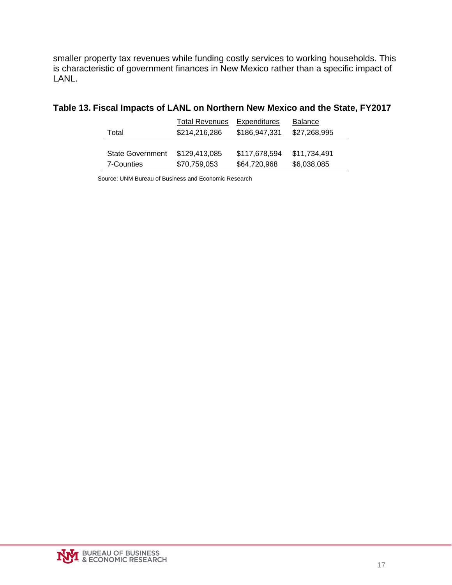smaller property tax revenues while funding costly services to working households. This is characteristic of government finances in New Mexico rather than a specific impact of LANL.

<span id="page-22-0"></span>

|  |  |  |  | Table 13. Fiscal Impacts of LANL on Northern New Mexico and the State, FY2017 |
|--|--|--|--|-------------------------------------------------------------------------------|
|--|--|--|--|-------------------------------------------------------------------------------|

|                         | <b>Total Revenues</b> | Expenditures  | <b>Balance</b> |
|-------------------------|-----------------------|---------------|----------------|
| Total                   | \$214,216,286         | \$186,947,331 | \$27,268,995   |
|                         |                       |               |                |
| <b>State Government</b> | \$129,413,085         | \$117,678,594 | \$11,734,491   |
| 7-Counties              | \$70,759,053          | \$64,720,968  | \$6,038,085    |

Source: UNM Bureau of Business and Economic Research

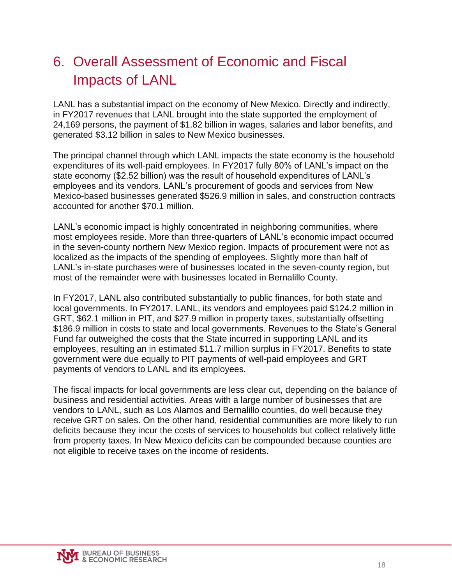# <span id="page-23-0"></span>6. Overall Assessment of Economic and Fiscal Impacts of LANL

LANL has a substantial impact on the economy of New Mexico. Directly and indirectly, in FY2017 revenues that LANL brought into the state supported the employment of 24,169 persons, the payment of \$1.82 billion in wages, salaries and labor benefits, and generated \$3.12 billion in sales to New Mexico businesses.

The principal channel through which LANL impacts the state economy is the household expenditures of its well-paid employees. In FY2017 fully 80% of LANL's impact on the state economy (\$2.52 billion) was the result of household expenditures of LANL's employees and its vendors. LANL's procurement of goods and services from New Mexico-based businesses generated \$526.9 million in sales, and construction contracts accounted for another \$70.1 million.

LANL's economic impact is highly concentrated in neighboring communities, where most employees reside. More than three-quarters of LANL's economic impact occurred in the seven-county northern New Mexico region. Impacts of procurement were not as localized as the impacts of the spending of employees. Slightly more than half of LANL's in-state purchases were of businesses located in the seven-county region, but most of the remainder were with businesses located in Bernalillo County.

In FY2017, LANL also contributed substantially to public finances, for both state and local governments. In FY2017, LANL, its vendors and employees paid \$124.2 million in GRT, \$62.1 million in PIT, and \$27.9 million in property taxes, substantially offsetting \$186.9 million in costs to state and local governments. Revenues to the State's General Fund far outweighed the costs that the State incurred in supporting LANL and its employees, resulting an in estimated \$11.7 million surplus in FY2017. Benefits to state government were due equally to PIT payments of well-paid employees and GRT payments of vendors to LANL and its employees.

<span id="page-23-1"></span>The fiscal impacts for local governments are less clear cut, depending on the balance of business and residential activities. Areas with a large number of businesses that are vendors to LANL, such as Los Alamos and Bernalillo counties, do well because they receive GRT on sales. On the other hand, residential communities are more likely to run deficits because they incur the costs of services to households but collect relatively little from property taxes. In New Mexico deficits can be compounded because counties are not eligible to receive taxes on the income of residents.

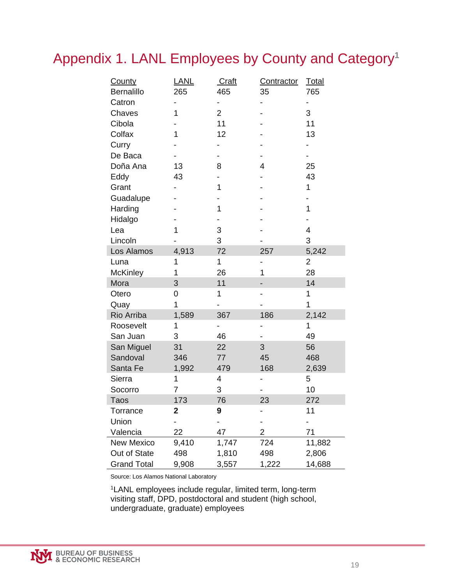### Appendix 1. LANL Employees by County and Category**<sup>1</sup>**

| <b>County</b>      | <b>LANL</b> | Craft          | <b>Contractor</b> | <b>Total</b> |
|--------------------|-------------|----------------|-------------------|--------------|
| <b>Bernalillo</b>  | 265         | 465            | 35                | 765          |
| Catron             |             |                |                   |              |
| Chaves             | 1           | $\overline{2}$ |                   | 3            |
| Cibola             |             | 11             |                   | 11           |
| Colfax             | 1           | 12             |                   | 13           |
| Curry              |             |                |                   |              |
| De Baca            |             |                |                   |              |
| Doña Ana           | 13          | 8              | $\overline{4}$    | 25           |
| Eddy               | 43          |                |                   | 43           |
| Grant              |             | 1              |                   | 1            |
| Guadalupe          |             |                |                   |              |
| Harding            |             | 1              |                   | 1            |
| Hidalgo            |             |                |                   |              |
| Lea                | 1           | 3              |                   | 4            |
| Lincoln            |             | 3              |                   | 3            |
| Los Alamos         | 4,913       | 72             | 257               | 5,242        |
| Luna               | 1           | 1              | -                 | 2            |
| <b>McKinley</b>    | 1           | 26             | 1                 | 28           |
| Mora               | 3           | 11             |                   | 14           |
| Otero              | 0           | 1              |                   | 1            |
| Quay               | 1           |                |                   | 1            |
| Rio Arriba         | 1,589       | 367            | 186               | 2,142        |
| Roosevelt          | 1           |                | -                 | 1            |
| San Juan           | 3           | 46             |                   | 49           |
| San Miguel         | 31          | 22             | 3                 | 56           |
| Sandoval           | 346         | 77             | 45                | 468          |
| Santa Fe           | 1,992       | 479            | 168               | 2,639        |
| Sierra             | 1           | 4              | -                 | 5            |
| Socorro            | 7           | 3              |                   | 10           |
| <b>Taos</b>        | 173         | 76             | 23                | 272          |
| Torrance           | 2           | 9              |                   | 11           |
| Union              |             |                |                   |              |
| Valencia           | 22          | 47             | 2                 | 71           |
| <b>New Mexico</b>  | 9,410       | 1,747          | 724               | 11,882       |
| Out of State       | 498         | 1,810          | 498               | 2,806        |
| <b>Grand Total</b> | 9,908       | 3,557          | 1,222             | 14,688       |

Source: Los Alamos National Laboratory

<sup>1</sup>LANL employees include regular, limited term, long-term visiting staff, DPD, postdoctoral and student (high school, undergraduate, graduate) employees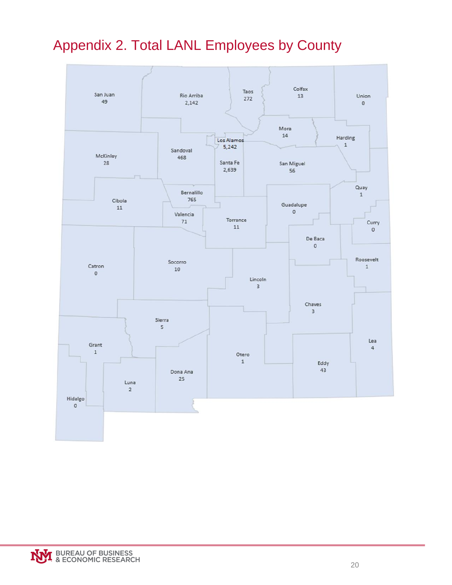# <span id="page-25-0"></span>Appendix 2. Total LANL Employees by County



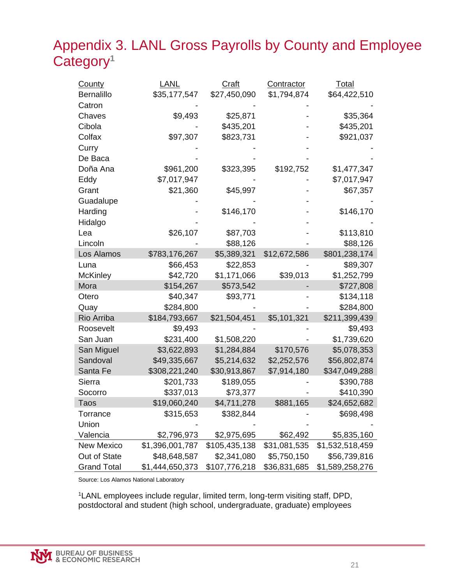### <span id="page-26-0"></span>Appendix 3. LANL Gross Payrolls by County and Employee Category**<sup>1</sup>**

| <b>County</b>      | LANL            | <b>Craft</b>  | <b>Contractor</b> | <b>Total</b>    |
|--------------------|-----------------|---------------|-------------------|-----------------|
| <b>Bernalillo</b>  | \$35,177,547    | \$27,450,090  | \$1,794,874       | \$64,422,510    |
| Catron             |                 |               |                   |                 |
| Chaves             | \$9,493         | \$25,871      |                   | \$35,364        |
| Cibola             |                 | \$435,201     |                   | \$435,201       |
| Colfax             | \$97,307        | \$823,731     |                   | \$921,037       |
| Curry              |                 |               |                   |                 |
| De Baca            |                 |               |                   |                 |
| Doña Ana           | \$961,200       | \$323,395     | \$192,752         | \$1,477,347     |
| Eddy               | \$7,017,947     |               |                   | \$7,017,947     |
| Grant              | \$21,360        | \$45,997      |                   | \$67,357        |
| Guadalupe          |                 |               |                   |                 |
| Harding            |                 | \$146,170     |                   | \$146,170       |
| Hidalgo            |                 |               |                   |                 |
| Lea                | \$26,107        | \$87,703      |                   | \$113,810       |
| Lincoln            |                 | \$88,126      |                   | \$88,126        |
| Los Alamos         | \$783,176,267   | \$5,389,321   | \$12,672,586      | \$801,238,174   |
| Luna               | \$66,453        | \$22,853      |                   | \$89,307        |
| <b>McKinley</b>    | \$42,720        | \$1,171,066   | \$39,013          | \$1,252,799     |
| Mora               | \$154,267       | \$573,542     |                   | \$727,808       |
| Otero              | \$40,347        | \$93,771      |                   | \$134,118       |
| Quay               | \$284,800       |               |                   | \$284,800       |
| Rio Arriba         | \$184,793,667   | \$21,504,451  | \$5,101,321       | \$211,399,439   |
| Roosevelt          | \$9,493         |               |                   | \$9,493         |
| San Juan           | \$231,400       | \$1,508,220   |                   | \$1,739,620     |
| San Miguel         | \$3,622,893     | \$1,284,884   | \$170,576         | \$5,078,353     |
| Sandoval           | \$49,335,667    | \$5,214,632   | \$2,252,576       | \$56,802,874    |
| Santa Fe           | \$308,221,240   | \$30,913,867  | \$7,914,180       | \$347,049,288   |
| Sierra             | \$201,733       | \$189,055     |                   | \$390,788       |
| Socorro            | \$337,013       | \$73,377      |                   | \$410,390       |
| Taos               | \$19,060,240    | \$4,711,278   | \$881,165         | \$24,652,682    |
| Torrance           | \$315,653       | \$382,844     |                   | \$698,498       |
| Union              |                 |               |                   |                 |
| Valencia           | \$2,796,973     | \$2,975,695   | \$62,492          | \$5,835,160     |
| <b>New Mexico</b>  | \$1,396,001,787 | \$105,435,138 | \$31,081,535      | \$1,532,518,459 |
| Out of State       | \$48,648,587    | \$2,341,080   | \$5,750,150       | \$56,739,816    |
| <b>Grand Total</b> | \$1,444,650,373 | \$107,776,218 | \$36,831,685      | \$1,589,258,276 |

Source: Los Alamos National Laboratory

<sup>1</sup>LANL employees include regular, limited term, long-term visiting staff, DPD, postdoctoral and student (high school, undergraduate, graduate) employees